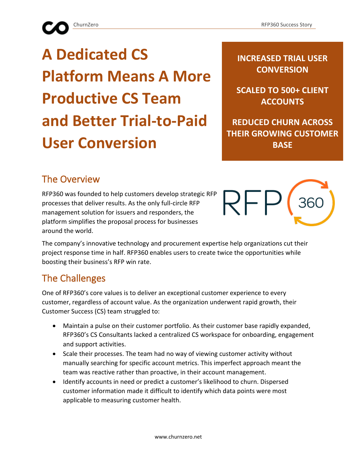# **A Dedicated CS Platform Means A More Productive CS Team and Better Trial-to-Paid User Conversion**

**INCREASED TRIAL USER CONVERSION**

**SCALED TO 500+ CLIENT ACCOUNTS**

**REDUCED CHURN ACROSS THEIR GROWING CUSTOMER BASE**

# The Overview

RFP360 was founded to help customers develop strategic RFP processes that deliver results. As the only full-circle RFP management solution for issuers and responders, the platform simplifies the proposal process for businesses around the world.



The company's innovative technology and procurement expertise help organizations cut their project response time in half. RFP360 enables users to create twice the opportunities while boosting their business's RFP win rate.

# The Challenges

One of RFP360's core values is to deliver an exceptional customer experience to every customer, regardless of account value. As the organization underwent rapid growth, their Customer Success (CS) team struggled to:

- Maintain a pulse on their customer portfolio. As their customer base rapidly expanded, RFP360's CS Consultants lacked a centralized CS workspace for onboarding, engagement and support activities.
- Scale their processes. The team had no way of viewing customer activity without manually searching for specific account metrics. This imperfect approach meant the team was reactive rather than proactive, in their account management.
- Identify accounts in need or predict a customer's likelihood to churn. Dispersed customer information made it difficult to identify which data points were most applicable to measuring customer health.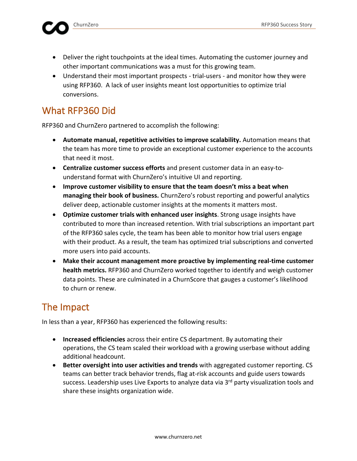- Deliver the right touchpoints at the ideal times. Automating the customer journey and other important communications was a must for this growing team.
- Understand their most important prospects trial-users and monitor how they were using RFP360. A lack of user insights meant lost opportunities to optimize trial conversions.

#### What RFP360 Did

RFP360 and ChurnZero partnered to accomplish the following:

- **Automate manual, repetitive activities to improve scalability.** Automation means that the team has more time to provide an exceptional customer experience to the accounts that need it most.
- **Centralize customer success efforts** and present customer data in an easy-tounderstand format with ChurnZero's intuitive UI and reporting.
- **Improve customer visibility to ensure that the team doesn't miss a beat when managing their book of business.** ChurnZero's robust reporting and powerful analytics deliver deep, actionable customer insights at the moments it matters most.
- **Optimize customer trials with enhanced user insights**. Strong usage insights have contributed to more than increased retention. With trial subscriptions an important part of the RFP360 sales cycle, the team has been able to monitor how trial users engage with their product. As a result, the team has optimized trial subscriptions and converted more users into paid accounts.
- **Make their account management more proactive by implementing real-time customer health metrics.** RFP360 and ChurnZero worked together to identify and weigh customer data points. These are culminated in a ChurnScore that gauges a customer's likelihood to churn or renew.

# The Impact

In less than a year, RFP360 has experienced the following results:

- **Increased efficiencies** across their entire CS department. By automating their operations, the CS team scaled their workload with a growing userbase without adding additional headcount.
- **Better oversight into user activities and trends** with aggregated customer reporting. CS teams can better track behavior trends, flag at-risk accounts and guide users towards success. Leadership uses Live Exports to analyze data via 3<sup>rd</sup> party visualization tools and share these insights organization wide.